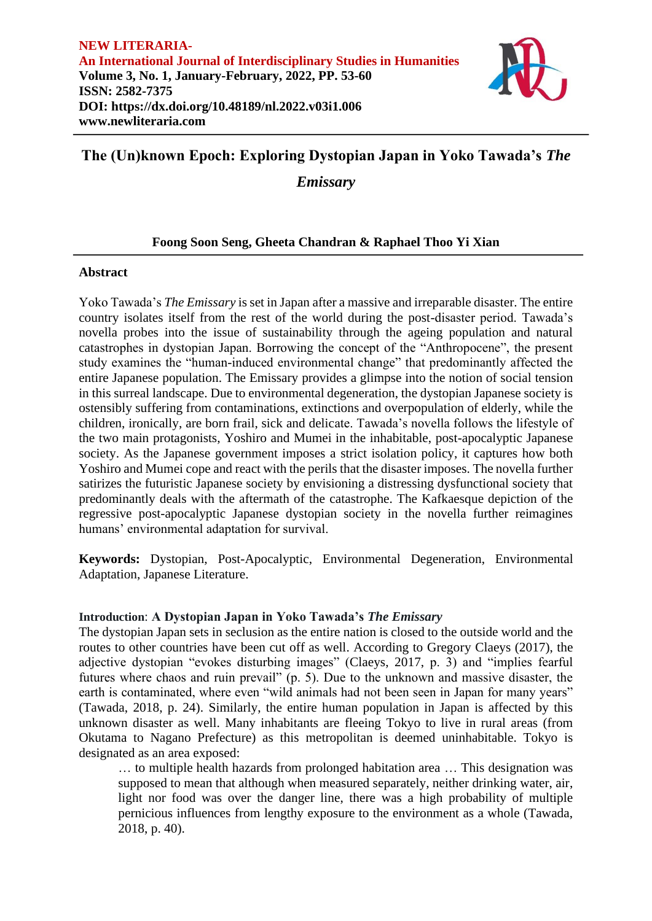

# **The (Un)known Epoch: Exploring Dystopian Japan in Yoko Tawada's** *The*

*Emissary*

## **Foong Soon Seng, Gheeta Chandran & Raphael Thoo Yi Xian**

## **Abstract**

Yoko Tawada's *The Emissary* is set in Japan after a massive and irreparable disaster. The entire country isolates itself from the rest of the world during the post-disaster period. Tawada's novella probes into the issue of sustainability through the ageing population and natural catastrophes in dystopian Japan. Borrowing the concept of the "Anthropocene", the present study examines the "human-induced environmental change" that predominantly affected the entire Japanese population. The Emissary provides a glimpse into the notion of social tension in this surreal landscape. Due to environmental degeneration, the dystopian Japanese society is ostensibly suffering from contaminations, extinctions and overpopulation of elderly, while the children, ironically, are born frail, sick and delicate. Tawada's novella follows the lifestyle of the two main protagonists, Yoshiro and Mumei in the inhabitable, post-apocalyptic Japanese society. As the Japanese government imposes a strict isolation policy, it captures how both Yoshiro and Mumei cope and react with the perils that the disaster imposes. The novella further satirizes the futuristic Japanese society by envisioning a distressing dysfunctional society that predominantly deals with the aftermath of the catastrophe. The Kafkaesque depiction of the regressive post-apocalyptic Japanese dystopian society in the novella further reimagines humans' environmental adaptation for survival.

**Keywords:** Dystopian, Post-Apocalyptic, Environmental Degeneration, Environmental Adaptation, Japanese Literature.

## **Introduction**: **A Dystopian Japan in Yoko Tawada's** *The Emissary*

The dystopian Japan sets in seclusion as the entire nation is closed to the outside world and the routes to other countries have been cut off as well. According to Gregory Claeys (2017), the adjective dystopian "evokes disturbing images" (Claeys, 2017, p. 3) and "implies fearful futures where chaos and ruin prevail" (p. 5). Due to the unknown and massive disaster, the earth is contaminated, where even "wild animals had not been seen in Japan for many years" (Tawada, 2018, p. 24). Similarly, the entire human population in Japan is affected by this unknown disaster as well. Many inhabitants are fleeing Tokyo to live in rural areas (from Okutama to Nagano Prefecture) as this metropolitan is deemed uninhabitable. Tokyo is designated as an area exposed:

… to multiple health hazards from prolonged habitation area … This designation was supposed to mean that although when measured separately, neither drinking water, air, light nor food was over the danger line, there was a high probability of multiple pernicious influences from lengthy exposure to the environment as a whole (Tawada, 2018, p. 40).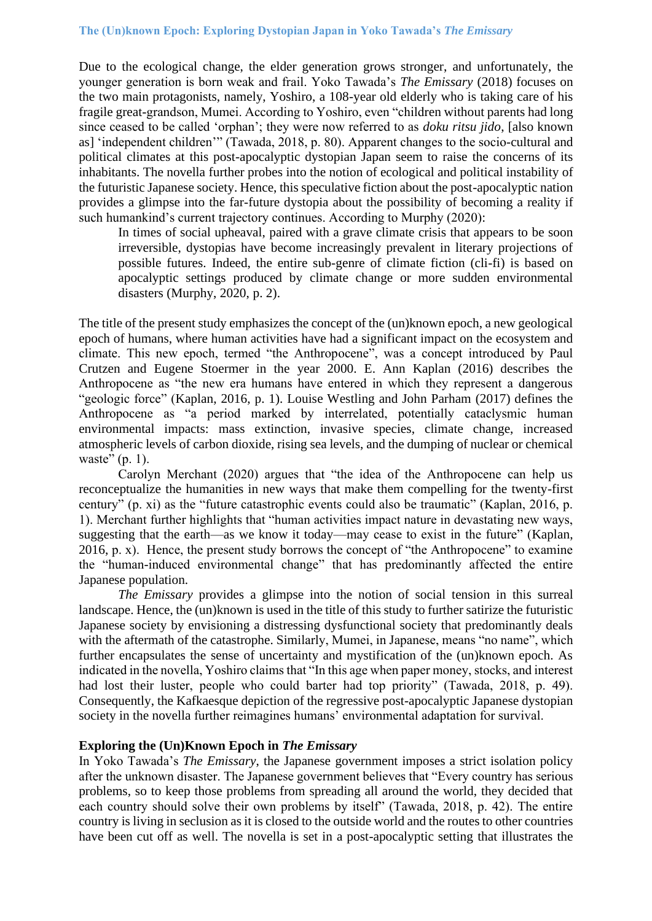#### **The (Un)known Epoch: Exploring Dystopian Japan in Yoko Tawada's** *The Emissary*

Due to the ecological change, the elder generation grows stronger, and unfortunately, the younger generation is born weak and frail. Yoko Tawada's *The Emissary* (2018) focuses on the two main protagonists, namely, Yoshiro, a 108-year old elderly who is taking care of his fragile great-grandson, Mumei. According to Yoshiro, even "children without parents had long since ceased to be called 'orphan'; they were now referred to as *doku ritsu jido*, [also known as] 'independent children'" (Tawada, 2018, p. 80). Apparent changes to the socio-cultural and political climates at this post-apocalyptic dystopian Japan seem to raise the concerns of its inhabitants. The novella further probes into the notion of ecological and political instability of the futuristic Japanese society. Hence, this speculative fiction about the post-apocalyptic nation provides a glimpse into the far-future dystopia about the possibility of becoming a reality if such humankind's current trajectory continues. According to Murphy (2020):

In times of social upheaval, paired with a grave climate crisis that appears to be soon irreversible, dystopias have become increasingly prevalent in literary projections of possible futures. Indeed, the entire sub-genre of climate fiction (cli-fi) is based on apocalyptic settings produced by climate change or more sudden environmental disasters (Murphy, 2020, p. 2).

The title of the present study emphasizes the concept of the (un)known epoch, a new geological epoch of humans, where human activities have had a significant impact on the ecosystem and climate. This new epoch, termed "the Anthropocene", was a concept introduced by Paul Crutzen and Eugene Stoermer in the year 2000. E. Ann Kaplan (2016) describes the Anthropocene as "the new era humans have entered in which they represent a dangerous "geologic force" (Kaplan, 2016, p. 1). Louise Westling and John Parham (2017) defines the Anthropocene as "a period marked by interrelated, potentially cataclysmic human environmental impacts: mass extinction, invasive species, climate change, increased atmospheric levels of carbon dioxide, rising sea levels, and the dumping of nuclear or chemical waste" (p. 1).

Carolyn Merchant (2020) argues that "the idea of the Anthropocene can help us reconceptualize the humanities in new ways that make them compelling for the twenty-first century" (p. xi) as the "future catastrophic events could also be traumatic" (Kaplan, 2016, p. 1). Merchant further highlights that "human activities impact nature in devastating new ways, suggesting that the earth—as we know it today—may cease to exist in the future" (Kaplan, 2016, p. x). Hence, the present study borrows the concept of "the Anthropocene" to examine the "human-induced environmental change" that has predominantly affected the entire Japanese population.

*The Emissary* provides a glimpse into the notion of social tension in this surreal landscape. Hence, the (un)known is used in the title of this study to further satirize the futuristic Japanese society by envisioning a distressing dysfunctional society that predominantly deals with the aftermath of the catastrophe. Similarly, Mumei, in Japanese, means "no name", which further encapsulates the sense of uncertainty and mystification of the (un)known epoch. As indicated in the novella, Yoshiro claims that "In this age when paper money, stocks, and interest had lost their luster, people who could barter had top priority" (Tawada, 2018, p. 49). Consequently, the Kafkaesque depiction of the regressive post-apocalyptic Japanese dystopian society in the novella further reimagines humans' environmental adaptation for survival.

## **Exploring the (Un)Known Epoch in** *The Emissary*

In Yoko Tawada's *The Emissary*, the Japanese government imposes a strict isolation policy after the unknown disaster. The Japanese government believes that "Every country has serious problems, so to keep those problems from spreading all around the world, they decided that each country should solve their own problems by itself" (Tawada, 2018, p. 42). The entire country is living in seclusion as it is closed to the outside world and the routes to other countries have been cut off as well. The novella is set in a post-apocalyptic setting that illustrates the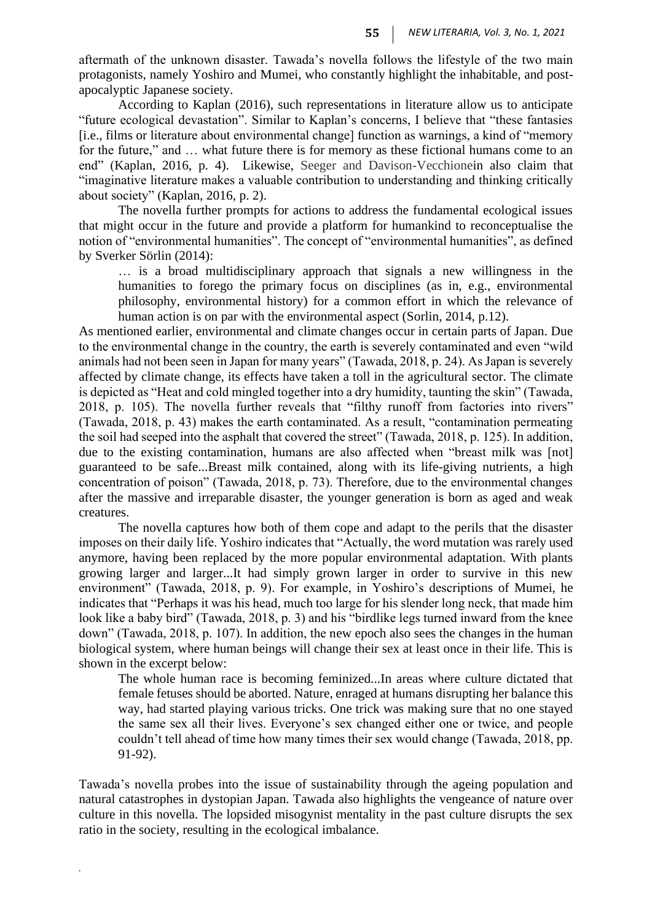aftermath of the unknown disaster. Tawada's novella follows the lifestyle of the two main protagonists, namely Yoshiro and Mumei, who constantly highlight the inhabitable, and postapocalyptic Japanese society.

According to Kaplan (2016), such representations in literature allow us to anticipate "future ecological devastation". Similar to Kaplan's concerns, I believe that "these fantasies [i.e., films or literature about environmental change] function as warnings, a kind of "memory for the future," and … what future there is for memory as these fictional humans come to an end" (Kaplan, 2016, p. 4). Likewise, Seeger and Davison-Vecchionein also claim that "imaginative literature makes a valuable contribution to understanding and thinking critically about society" (Kaplan, 2016, p. 2).

The novella further prompts for actions to address the fundamental ecological issues that might occur in the future and provide a platform for humankind to reconceptualise the notion of "environmental humanities". The concept of "environmental humanities", as defined by Sverker Sörlin (2014):

… is a broad multidisciplinary approach that signals a new willingness in the humanities to forego the primary focus on disciplines (as in, e.g., environmental philosophy, environmental history) for a common effort in which the relevance of human action is on par with the environmental aspect (Sorlin, 2014, p.12).

As mentioned earlier, environmental and climate changes occur in certain parts of Japan. Due to the environmental change in the country, the earth is severely contaminated and even "wild animals had not been seen in Japan for many years" (Tawada, 2018, p. 24). As Japan is severely affected by climate change, its effects have taken a toll in the agricultural sector. The climate is depicted as "Heat and cold mingled together into a dry humidity, taunting the skin" (Tawada, 2018, p. 105). The novella further reveals that "filthy runoff from factories into rivers" (Tawada, 2018, p. 43) makes the earth contaminated. As a result, "contamination permeating the soil had seeped into the asphalt that covered the street" (Tawada, 2018, p. 125). In addition, due to the existing contamination, humans are also affected when "breast milk was [not] guaranteed to be safe...Breast milk contained, along with its life-giving nutrients, a high concentration of poison" (Tawada, 2018, p. 73). Therefore, due to the environmental changes after the massive and irreparable disaster, the younger generation is born as aged and weak creatures.

The novella captures how both of them cope and adapt to the perils that the disaster imposes on their daily life. Yoshiro indicates that "Actually, the word mutation was rarely used anymore, having been replaced by the more popular environmental adaptation. With plants growing larger and larger...It had simply grown larger in order to survive in this new environment" (Tawada, 2018, p. 9). For example, in Yoshiro's descriptions of Mumei, he indicates that "Perhaps it was his head, much too large for his slender long neck, that made him look like a baby bird" (Tawada, 2018, p. 3) and his "birdlike legs turned inward from the knee down" (Tawada, 2018, p. 107). In addition, the new epoch also sees the changes in the human biological system, where human beings will change their sex at least once in their life. This is shown in the excerpt below:

The whole human race is becoming feminized...In areas where culture dictated that female fetuses should be aborted. Nature, enraged at humans disrupting her balance this way, had started playing various tricks. One trick was making sure that no one stayed the same sex all their lives. Everyone's sex changed either one or twice, and people couldn't tell ahead of time how many times their sex would change (Tawada, 2018, pp. 91-92).

Tawada's novella probes into the issue of sustainability through the ageing population and natural catastrophes in dystopian Japan. Tawada also highlights the vengeance of nature over culture in this novella. The lopsided misogynist mentality in the past culture disrupts the sex ratio in the society, resulting in the ecological imbalance.

*.*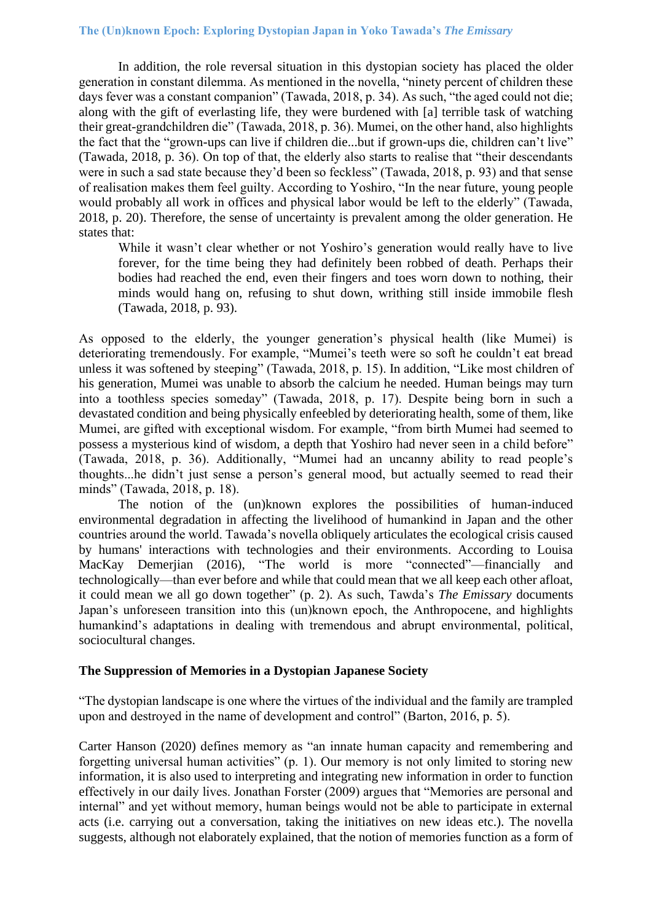#### **The (Un)known Epoch: Exploring Dystopian Japan in Yoko Tawada's** *The Emissary*

In addition, the role reversal situation in this dystopian society has placed the older generation in constant dilemma. As mentioned in the novella, "ninety percent of children these days fever was a constant companion" (Tawada, 2018, p. 34). As such, "the aged could not die; along with the gift of everlasting life, they were burdened with [a] terrible task of watching their great-grandchildren die" (Tawada, 2018, p. 36). Mumei, on the other hand, also highlights the fact that the "grown-ups can live if children die...but if grown-ups die, children can't live" (Tawada, 2018, p. 36). On top of that, the elderly also starts to realise that "their descendants were in such a sad state because they'd been so feckless" (Tawada, 2018, p. 93) and that sense of realisation makes them feel guilty. According to Yoshiro, "In the near future, young people would probably all work in offices and physical labor would be left to the elderly" (Tawada, 2018, p. 20). Therefore, the sense of uncertainty is prevalent among the older generation. He states that:

While it wasn't clear whether or not Yoshiro's generation would really have to live forever, for the time being they had definitely been robbed of death. Perhaps their bodies had reached the end, even their fingers and toes worn down to nothing, their minds would hang on, refusing to shut down, writhing still inside immobile flesh (Tawada, 2018, p. 93).

As opposed to the elderly, the younger generation's physical health (like Mumei) is deteriorating tremendously. For example, "Mumei's teeth were so soft he couldn't eat bread unless it was softened by steeping" (Tawada, 2018, p. 15). In addition, "Like most children of his generation, Mumei was unable to absorb the calcium he needed. Human beings may turn into a toothless species someday" (Tawada, 2018, p. 17). Despite being born in such a devastated condition and being physically enfeebled by deteriorating health, some of them, like Mumei, are gifted with exceptional wisdom. For example, "from birth Mumei had seemed to possess a mysterious kind of wisdom, a depth that Yoshiro had never seen in a child before" (Tawada, 2018, p. 36). Additionally, "Mumei had an uncanny ability to read people's thoughts...he didn't just sense a person's general mood, but actually seemed to read their minds" (Tawada, 2018, p. 18).

The notion of the (un)known explores the possibilities of human-induced environmental degradation in affecting the livelihood of humankind in Japan and the other countries around the world. Tawada's novella obliquely articulates the ecological crisis caused by humans' interactions with technologies and their environments. According to Louisa MacKay Demerjian (2016), "The world is more "connected"—financially and technologically—than ever before and while that could mean that we all keep each other afloat, it could mean we all go down together" (p. 2). As such, Tawda's *The Emissary* documents Japan's unforeseen transition into this (un)known epoch, the Anthropocene, and highlights humankind's adaptations in dealing with tremendous and abrupt environmental, political, sociocultural changes.

## **The Suppression of Memories in a Dystopian Japanese Society**

"The dystopian landscape is one where the virtues of the individual and the family are trampled upon and destroyed in the name of development and control" (Barton, 2016, p. 5).

Carter Hanson (2020) defines memory as "an innate human capacity and remembering and forgetting universal human activities" (p. 1). Our memory is not only limited to storing new information, it is also used to interpreting and integrating new information in order to function effectively in our daily lives. Jonathan Forster (2009) argues that "Memories are personal and internal" and yet without memory, human beings would not be able to participate in external acts (i.e. carrying out a conversation, taking the initiatives on new ideas etc.). The novella suggests, although not elaborately explained, that the notion of memories function as a form of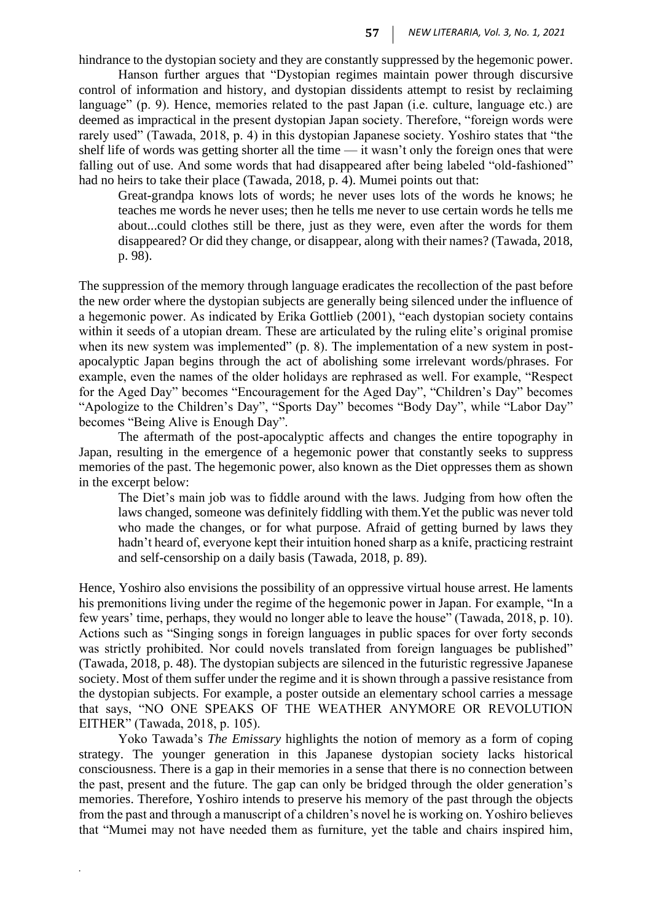hindrance to the dystopian society and they are constantly suppressed by the hegemonic power.

Hanson further argues that "Dystopian regimes maintain power through discursive control of information and history, and dystopian dissidents attempt to resist by reclaiming language" (p. 9). Hence, memories related to the past Japan (i.e. culture, language etc.) are deemed as impractical in the present dystopian Japan society. Therefore, "foreign words were rarely used" (Tawada, 2018, p. 4) in this dystopian Japanese society. Yoshiro states that "the shelf life of words was getting shorter all the time — it wasn't only the foreign ones that were falling out of use. And some words that had disappeared after being labeled "old-fashioned" had no heirs to take their place (Tawada, 2018, p. 4). Mumei points out that:

Great-grandpa knows lots of words; he never uses lots of the words he knows; he teaches me words he never uses; then he tells me never to use certain words he tells me about...could clothes still be there, just as they were, even after the words for them disappeared? Or did they change, or disappear, along with their names? (Tawada, 2018, p. 98).

The suppression of the memory through language eradicates the recollection of the past before the new order where the dystopian subjects are generally being silenced under the influence of a hegemonic power. As indicated by Erika Gottlieb (2001), "each dystopian society contains within it seeds of a utopian dream. These are articulated by the ruling elite's original promise when its new system was implemented" (p. 8). The implementation of a new system in postapocalyptic Japan begins through the act of abolishing some irrelevant words/phrases. For example, even the names of the older holidays are rephrased as well. For example, "Respect for the Aged Day" becomes "Encouragement for the Aged Day", "Children's Day" becomes "Apologize to the Children's Day", "Sports Day" becomes "Body Day", while "Labor Day" becomes "Being Alive is Enough Day".

The aftermath of the post-apocalyptic affects and changes the entire topography in Japan, resulting in the emergence of a hegemonic power that constantly seeks to suppress memories of the past. The hegemonic power, also known as the Diet oppresses them as shown in the excerpt below:

The Diet's main job was to fiddle around with the laws. Judging from how often the laws changed, someone was definitely fiddling with them.Yet the public was never told who made the changes, or for what purpose. Afraid of getting burned by laws they hadn't heard of, everyone kept their intuition honed sharp as a knife, practicing restraint and self-censorship on a daily basis (Tawada, 2018, p. 89).

Hence, Yoshiro also envisions the possibility of an oppressive virtual house arrest. He laments his premonitions living under the regime of the hegemonic power in Japan. For example, "In a few years' time, perhaps, they would no longer able to leave the house" (Tawada, 2018, p. 10). Actions such as "Singing songs in foreign languages in public spaces for over forty seconds was strictly prohibited. Nor could novels translated from foreign languages be published" (Tawada, 2018, p. 48). The dystopian subjects are silenced in the futuristic regressive Japanese society. Most of them suffer under the regime and it is shown through a passive resistance from the dystopian subjects. For example, a poster outside an elementary school carries a message that says, "NO ONE SPEAKS OF THE WEATHER ANYMORE OR REVOLUTION EITHER" (Tawada, 2018, p. 105).

Yoko Tawada's *The Emissary* highlights the notion of memory as a form of coping strategy. The younger generation in this Japanese dystopian society lacks historical consciousness. There is a gap in their memories in a sense that there is no connection between the past, present and the future. The gap can only be bridged through the older generation's memories. Therefore, Yoshiro intends to preserve his memory of the past through the objects from the past and through a manuscript of a children's novel he is working on. Yoshiro believes that "Mumei may not have needed them as furniture, yet the table and chairs inspired him,

*.*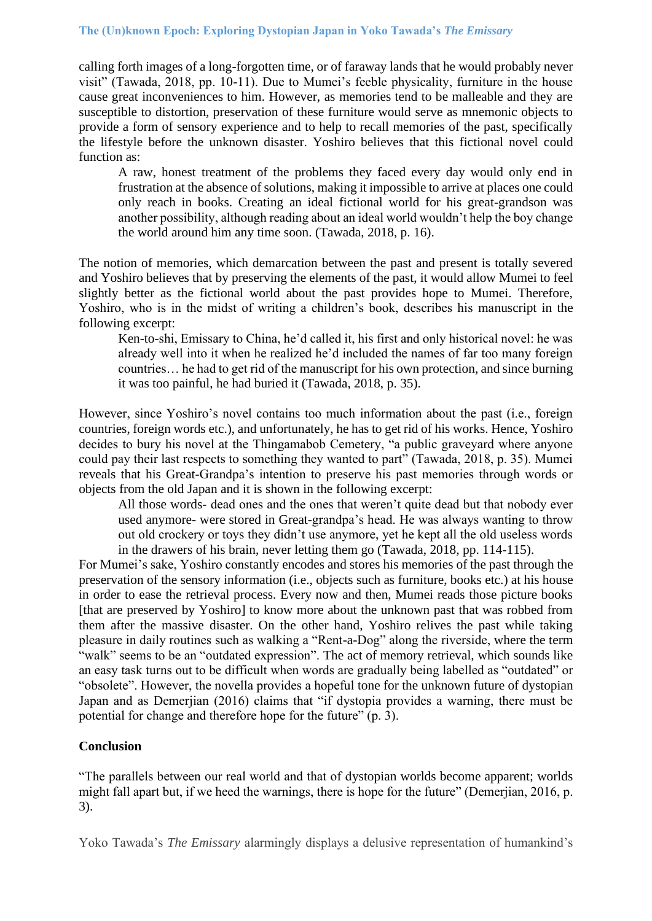### **The (Un)known Epoch: Exploring Dystopian Japan in Yoko Tawada's** *The Emissary*

calling forth images of a long-forgotten time, or of faraway lands that he would probably never visit" (Tawada, 2018, pp. 10-11). Due to Mumei's feeble physicality, furniture in the house cause great inconveniences to him. However, as memories tend to be malleable and they are susceptible to distortion, preservation of these furniture would serve as mnemonic objects to provide a form of sensory experience and to help to recall memories of the past, specifically the lifestyle before the unknown disaster. Yoshiro believes that this fictional novel could function as:

A raw, honest treatment of the problems they faced every day would only end in frustration at the absence of solutions, making it impossible to arrive at places one could only reach in books. Creating an ideal fictional world for his great-grandson was another possibility, although reading about an ideal world wouldn't help the boy change the world around him any time soon. (Tawada, 2018, p. 16).

The notion of memories, which demarcation between the past and present is totally severed and Yoshiro believes that by preserving the elements of the past, it would allow Mumei to feel slightly better as the fictional world about the past provides hope to Mumei. Therefore, Yoshiro, who is in the midst of writing a children's book, describes his manuscript in the following excerpt:

Ken-to-shi, Emissary to China, he'd called it, his first and only historical novel: he was already well into it when he realized he'd included the names of far too many foreign countries… he had to get rid of the manuscript for his own protection, and since burning it was too painful, he had buried it (Tawada, 2018, p. 35).

However, since Yoshiro's novel contains too much information about the past (i.e., foreign countries, foreign words etc.), and unfortunately, he has to get rid of his works. Hence, Yoshiro decides to bury his novel at the Thingamabob Cemetery, "a public graveyard where anyone could pay their last respects to something they wanted to part" (Tawada, 2018, p. 35). Mumei reveals that his Great-Grandpa's intention to preserve his past memories through words or objects from the old Japan and it is shown in the following excerpt:

All those words- dead ones and the ones that weren't quite dead but that nobody ever used anymore- were stored in Great-grandpa's head. He was always wanting to throw out old crockery or toys they didn't use anymore, yet he kept all the old useless words in the drawers of his brain, never letting them go (Tawada, 2018, pp. 114-115).

For Mumei's sake, Yoshiro constantly encodes and stores his memories of the past through the preservation of the sensory information (i.e., objects such as furniture, books etc.) at his house in order to ease the retrieval process. Every now and then, Mumei reads those picture books [that are preserved by Yoshiro] to know more about the unknown past that was robbed from them after the massive disaster. On the other hand, Yoshiro relives the past while taking pleasure in daily routines such as walking a "Rent-a-Dog" along the riverside, where the term "walk" seems to be an "outdated expression". The act of memory retrieval, which sounds like an easy task turns out to be difficult when words are gradually being labelled as "outdated" or "obsolete". However, the novella provides a hopeful tone for the unknown future of dystopian Japan and as Demerjian (2016) claims that "if dystopia provides a warning, there must be potential for change and therefore hope for the future" (p. 3).

## **Conclusion**

"The parallels between our real world and that of dystopian worlds become apparent; worlds might fall apart but, if we heed the warnings, there is hope for the future" (Demerjian, 2016, p. 3).

Yoko Tawada's *The Emissary* alarmingly displays a delusive representation of humankind's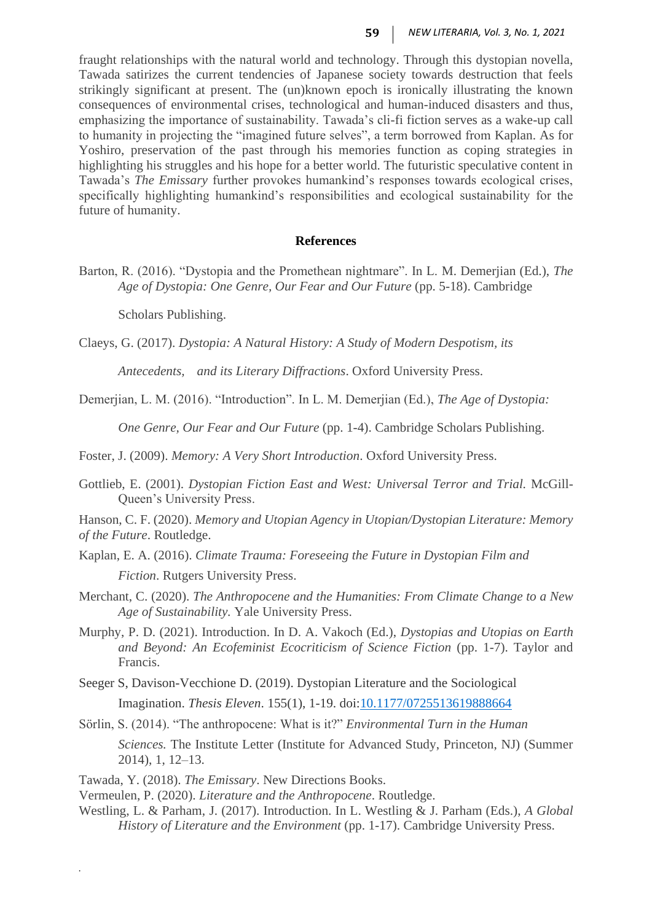fraught relationships with the natural world and technology. Through this dystopian novella, Tawada satirizes the current tendencies of Japanese society towards destruction that feels strikingly significant at present. The (un)known epoch is ironically illustrating the known consequences of environmental crises, technological and human-induced disasters and thus, emphasizing the importance of sustainability. Tawada's cli-fi fiction serves as a wake-up call to humanity in projecting the "imagined future selves", a term borrowed from Kaplan. As for Yoshiro, preservation of the past through his memories function as coping strategies in highlighting his struggles and his hope for a better world. The futuristic speculative content in Tawada's *The Emissary* further provokes humankind's responses towards ecological crises, specifically highlighting humankind's responsibilities and ecological sustainability for the future of humanity.

#### **References**

Scholars Publishing.

Claeys, G. (2017). *Dystopia: A Natural History: A Study of Modern Despotism, its*

*Antecedents, and its Literary Diffractions*. Oxford University Press.

Demerjian, L. M. (2016). "Introduction". In L. M. Demerjian (Ed.), *The Age of Dystopia:* 

*One Genre, Our Fear and Our Future* (pp. 1-4). Cambridge Scholars Publishing.

Foster, J. (2009). *Memory: A Very Short Introduction*. Oxford University Press.

Gottlieb, E. (2001). *Dystopian Fiction East and West: Universal Terror and Trial.* McGill-Queen's University Press.

Hanson, C. F. (2020). *Memory and Utopian Agency in Utopian/Dystopian Literature: Memory of the Future*. Routledge.

- Kaplan, E. A. (2016). *Climate Trauma: Foreseeing the Future in Dystopian Film and Fiction*. Rutgers University Press.
- Merchant, C. (2020). *The Anthropocene and the Humanities: From Climate Change to a New Age of Sustainability.* Yale University Press.
- Murphy, P. D. (2021). Introduction. In D. A. Vakoch (Ed.), *Dystopias and Utopias on Earth and Beyond: An Ecofeminist Ecocriticism of Science Fiction (pp. 1-7). Taylor and* Francis.
- Seeger S, Davison-Vecchione D. (2019). Dystopian Literature and the Sociological Imagination. *Thesis Eleven*. 155(1), 1-19. doi[:10.1177/0725513619888664](https://doi.org/10.1177/0725513619888664)
- Sörlin, S. (2014). "The anthropocene: What is it?" *Environmental Turn in the Human*

*Sciences.* The Institute Letter (Institute for Advanced Study, Princeton, NJ) (Summer 2014), 1, 12–13.

Tawada, Y. (2018). *The Emissary*. New Directions Books.

*.*

Vermeulen, P. (2020). *Literature and the Anthropocene*. Routledge.

Westling, L. & Parham, J. (2017). Introduction. In L. Westling & J. Parham (Eds.), *A Global History of Literature and the Environment* (pp. 1-17). Cambridge University Press.

Barton, R. (2016). "Dystopia and the Promethean nightmare". In L. M. Demerjian (Ed.), *The Age of Dystopia: One Genre, Our Fear and Our Future* (pp. 5-18). Cambridge